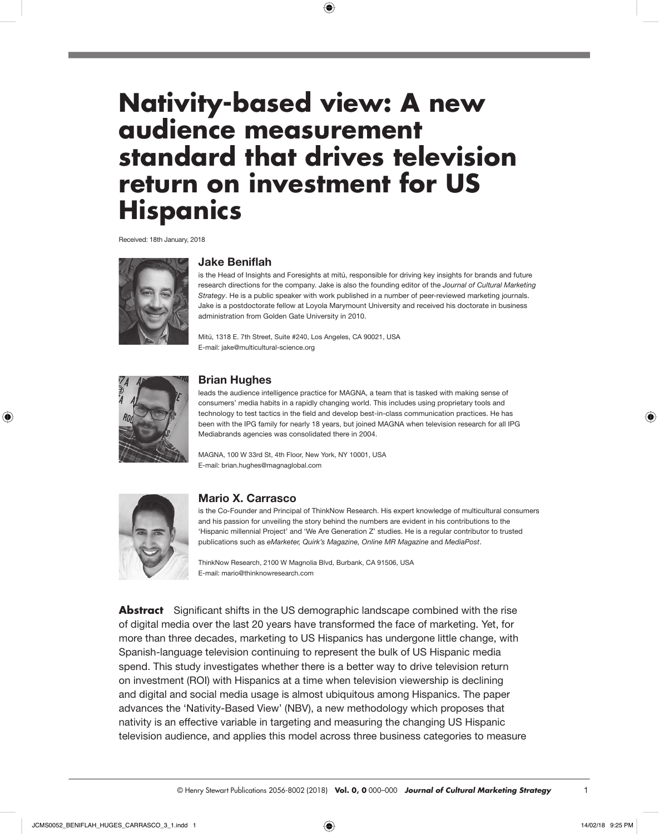# **Nativity-based view: A new audience measurement standard that drives television return on investment for US Hispanics**

 $\bigoplus$ 

Received: 18th January, 2018



## **Jake Beniflah**

is the Head of Insights and Foresights at mitú, responsible for driving key insights for brands and future research directions for the company. Jake is also the founding editor of the *Journal of Cultural Marketing Strategy*. He is a public speaker with work published in a number of peer-reviewed marketing journals. Jake is a postdoctorate fellow at Loyola Marymount University and received his doctorate in business administration from Golden Gate University in 2010.

Mitú, 1318 E. 7th Street, Suite #240, Los Angeles, CA 90021, USA E-mail: [jake@multicultural-science.org](mailto:jake@multicultural-science.org)



◈

## **Brian Hughes**

leads the audience intelligence practice for MAGNA, a team that is tasked with making sense of consumers' media habits in a rapidly changing world. This includes using proprietary tools and technology to test tactics in the field and develop best-in-class communication practices. He has been with the IPG family for nearly 18 years, but joined MAGNA when television research for all IPG Mediabrands agencies was consolidated there in 2004.

MAGNA, 100 W 33rd St, 4th Floor, New York, NY 10001, USA E-mail: [brian.hughes@magnaglobal.com](mailto:Brian.hughes@magnaglobal.com)



## **Mario X. Carrasco**

is the Co-Founder and Principal of ThinkNow Research. His expert knowledge of multicultural consumers and his passion for unveiling the story behind the numbers are evident in his contributions to the 'Hispanic millennial Project' and 'We Are Generation Z' studies. He is a regular contributor to trusted publications such as *eMarketer, Quirk's Magazine, Online MR Magazine* and *MediaPost*.

ThinkNow Research, 2100 W Magnolia Blvd, Burbank, CA 91506, USA E-mail: [mario@thinknowresearch.com](mailto:mario@thinknowresearch.com)

**Abstract** Significant shifts in the US demographic landscape combined with the rise of digital media over the last 20 years have transformed the face of marketing. Yet, for more than three decades, marketing to US Hispanics has undergone little change, with Spanish-language television continuing to represent the bulk of US Hispanic media spend. This study investigates whether there is a better way to drive television return on investment (ROI) with Hispanics at a time when television viewership is declining and digital and social media usage is almost ubiquitous among Hispanics. The paper advances the 'Nativity-Based View' (NBV), a new methodology which proposes that nativity is an effective variable in targeting and measuring the changing US Hispanic television audience, and applies this model across three business categories to measure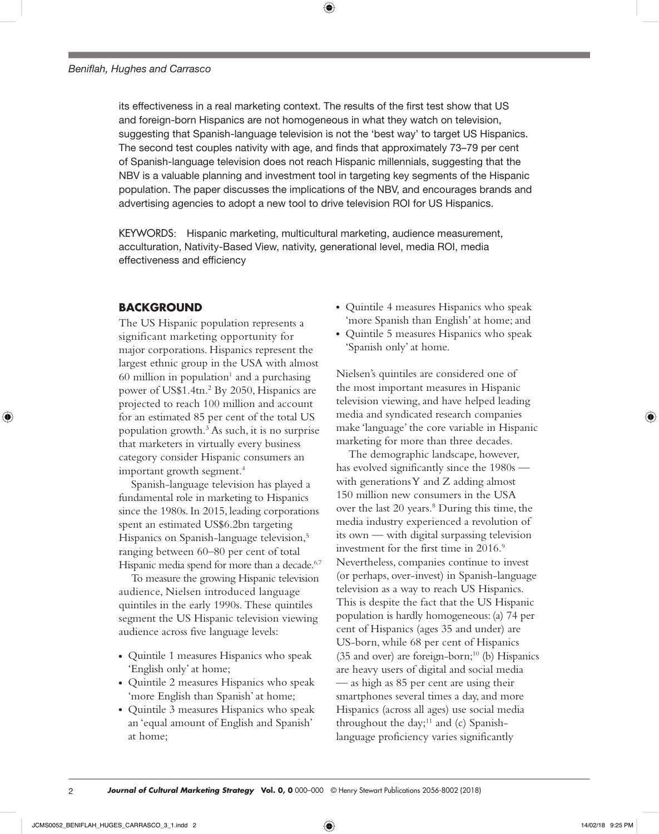its effectiveness in a real marketing context. The results of the first test show that US and foreign-born Hispanics are not homogeneous in what they watch on television, suggesting that Spanish-language television is not the 'best way' to target US Hispanics. The second test couples nativity with age, and finds that approximately 73–79 per cent of Spanish-language television does not reach Hispanic millennials, suggesting that the NBV is a valuable planning and investment tool in targeting key segments of the Hispanic population. The paper discusses the implications of the NBV, and encourages brands and advertising agencies to adopt a new tool to drive television ROI for US Hispanics.

⊕

KEYWORDS: Hispanic marketing, multicultural marketing, audience measurement, acculturation, Nativity-Based View, nativity, generational level, media ROI, media effectiveness and efficiency

## **BACKGROUND**

The US Hispanic population represents a significant marketing opportunity for major corporations. Hispanics represent the largest ethnic group in the USA with almost  $60$  million in population<sup>1</sup> and a purchasing power of US\$1.4tn.2 By 2050, Hispanics are projected to reach 100 million and account for an estimated 85 per cent of the total US population growth.3 As such, it is no surprise that marketers in virtually every business category consider Hispanic consumers an important growth segment.4

Spanish-language television has played a fundamental role in marketing to Hispanics since the 1980s. In 2015, leading corporations spent an estimated US\$6.2bn targeting Hispanics on Spanish-language television,<sup>5</sup> ranging between 60–80 per cent of total Hispanic media spend for more than a decade.<sup>6,7</sup>

To measure the growing Hispanic television audience, Nielsen introduced language quintiles in the early 1990s. These quintiles segment the US Hispanic television viewing audience across five language levels:

- Quintile 1 measures Hispanics who speak 'English only' at home;
- Quintile 2 measures Hispanics who speak 'more English than Spanish' at home;
- Quintile 3 measures Hispanics who speak an 'equal amount of English and Spanish' at home;
- Quintile 4 measures Hispanics who speak 'more Spanish than English' at home; and
- Quintile 5 measures Hispanics who speak 'Spanish only' at home.

Nielsen's quintiles are considered one of the most important measures in Hispanic television viewing, and have helped leading media and syndicated research companies make 'language' the core variable in Hispanic marketing for more than three decades.

The demographic landscape, however, has evolved significantly since the 1980s with generations Y and Z adding almost 150 million new consumers in the USA over the last 20 years.<sup>8</sup> During this time, the media industry experienced a revolution of its own — with digital surpassing television investment for the first time in 2016.<sup>9</sup> Nevertheless, companies continue to invest (or perhaps, over-invest) in Spanish-language television as a way to reach US Hispanics. This is despite the fact that the US Hispanic population is hardly homogeneous: (a) 74 per cent of Hispanics (ages 35 and under) are US-born, while 68 per cent of Hispanics (35 and over) are foreign-born; $10$  (b) Hispanics are heavy users of digital and social media — as high as 85 per cent are using their smartphones several times a day, and more Hispanics (across all ages) use social media throughout the day; $11$  and (c) Spanishlanguage proficiency varies significantly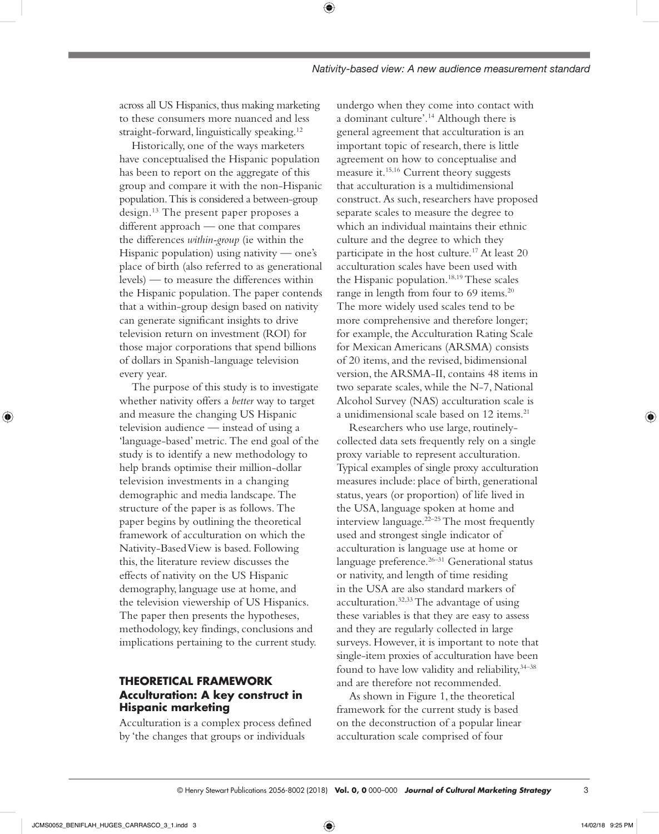across all US Hispanics, thus making marketing to these consumers more nuanced and less straight-forward, linguistically speaking.<sup>12</sup>

⊕

Historically, one of the ways marketers have conceptualised the Hispanic population has been to report on the aggregate of this group and compare it with the non-Hispanic population. This is considered a between-group design.13 The present paper proposes a different approach — one that compares the differences *within-group* (ie within the Hispanic population) using nativity — one's place of birth (also referred to as generational levels) — to measure the differences within the Hispanic population. The paper contends that a within-group design based on nativity can generate significant insights to drive television return on investment (ROI) for those major corporations that spend billions of dollars in Spanish-language television every year.

The purpose of this study is to investigate whether nativity offers a *better* way to target and measure the changing US Hispanic television audience — instead of using a 'language-based' metric. The end goal of the study is to identify a new methodology to help brands optimise their million-dollar television investments in a changing demographic and media landscape. The structure of the paper is as follows. The paper begins by outlining the theoretical framework of acculturation on which the Nativity-Based View is based. Following this, the literature review discusses the effects of nativity on the US Hispanic demography, language use at home, and the television viewership of US Hispanics. The paper then presents the hypotheses, methodology, key findings, conclusions and implications pertaining to the current study.

# **THEORETICAL FRAMEWORK Acculturation: A key construct in Hispanic marketing**

Acculturation is a complex process defined by 'the changes that groups or individuals

undergo when they come into contact with a dominant culture'.14 Although there is general agreement that acculturation is an important topic of research, there is little agreement on how to conceptualise and measure it.15,16 Current theory suggests that acculturation is a multidimensional construct. As such, researchers have proposed separate scales to measure the degree to which an individual maintains their ethnic culture and the degree to which they participate in the host culture.17 At least 20 acculturation scales have been used with the Hispanic population.18,19 These scales range in length from four to 69 items.<sup>20</sup> The more widely used scales tend to be more comprehensive and therefore longer; for example, the Acculturation Rating Scale for Mexican Americans (ARSMA) consists of 20 items, and the revised, bidimensional version, the ARSMA-II, contains 48 items in two separate scales, while the N-7, National Alcohol Survey (NAS) acculturation scale is a unidimensional scale based on 12 items.<sup>21</sup>

Researchers who use large, routinelycollected data sets frequently rely on a single proxy variable to represent acculturation. Typical examples of single proxy acculturation measures include: place of birth, generational status, years (or proportion) of life lived in the USA, language spoken at home and interview language.22–25 The most frequently used and strongest single indicator of acculturation is language use at home or language preference.<sup>26-31</sup> Generational status or nativity, and length of time residing in the USA are also standard markers of acculturation.32,33 The advantage of using these variables is that they are easy to assess and they are regularly collected in large surveys. However, it is important to note that single-item proxies of acculturation have been found to have low validity and reliability,  $34-38$ and are therefore not recommended.

As shown in Figure 1, the theoretical framework for the current study is based on the deconstruction of a popular linear acculturation scale comprised of four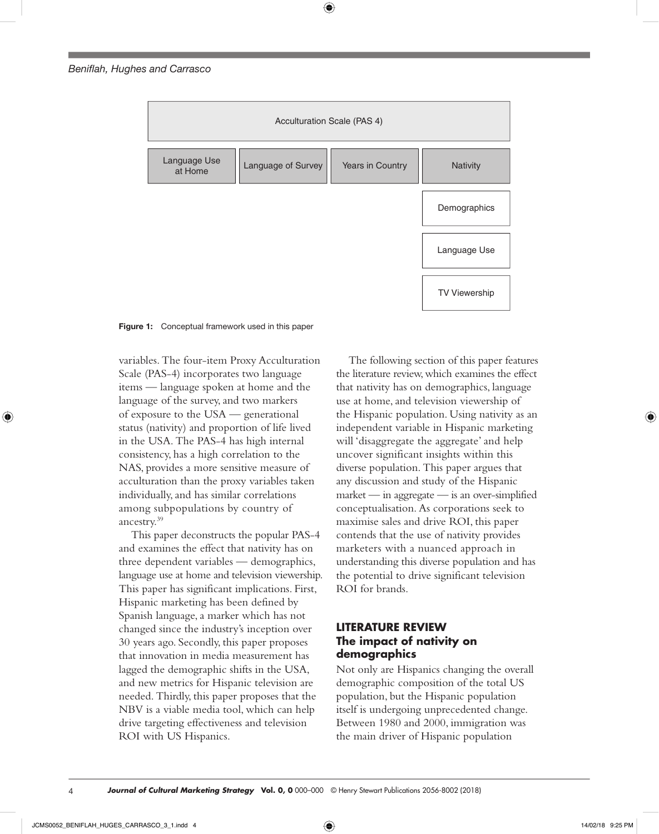

⊕

**Figure 1:** Conceptual framework used in this paper

variables. The four-item Proxy Acculturation Scale (PAS-4) incorporates two language items — language spoken at home and the language of the survey, and two markers of exposure to the USA — generational status (nativity) and proportion of life lived in the USA. The PAS-4 has high internal consistency, has a high correlation to the NAS, provides a more sensitive measure of acculturation than the proxy variables taken individually, and has similar correlations among subpopulations by country of ancestry.39

This paper deconstructs the popular PAS-4 and examines the effect that nativity has on three dependent variables — demographics, language use at home and television viewership. This paper has significant implications. First, Hispanic marketing has been defined by Spanish language, a marker which has not changed since the industry's inception over 30 years ago. Secondly, this paper proposes that innovation in media measurement has lagged the demographic shifts in the USA, and new metrics for Hispanic television are needed. Thirdly, this paper proposes that the NBV is a viable media tool, which can help drive targeting effectiveness and television ROI with US Hispanics.

The following section of this paper features the literature review, which examines the effect that nativity has on demographics, language use at home, and television viewership of the Hispanic population. Using nativity as an independent variable in Hispanic marketing will 'disaggregate the aggregate' and help uncover significant insights within this diverse population. This paper argues that any discussion and study of the Hispanic market — in aggregate — is an over-simplified conceptualisation. As corporations seek to maximise sales and drive ROI, this paper contends that the use of nativity provides marketers with a nuanced approach in understanding this diverse population and has the potential to drive significant television ROI for brands.

# **LITERATURE REVIEW The impact of nativity on demographics**

Not only are Hispanics changing the overall demographic composition of the total US population, but the Hispanic population itself is undergoing unprecedented change. Between 1980 and 2000, immigration was the main driver of Hispanic population

◈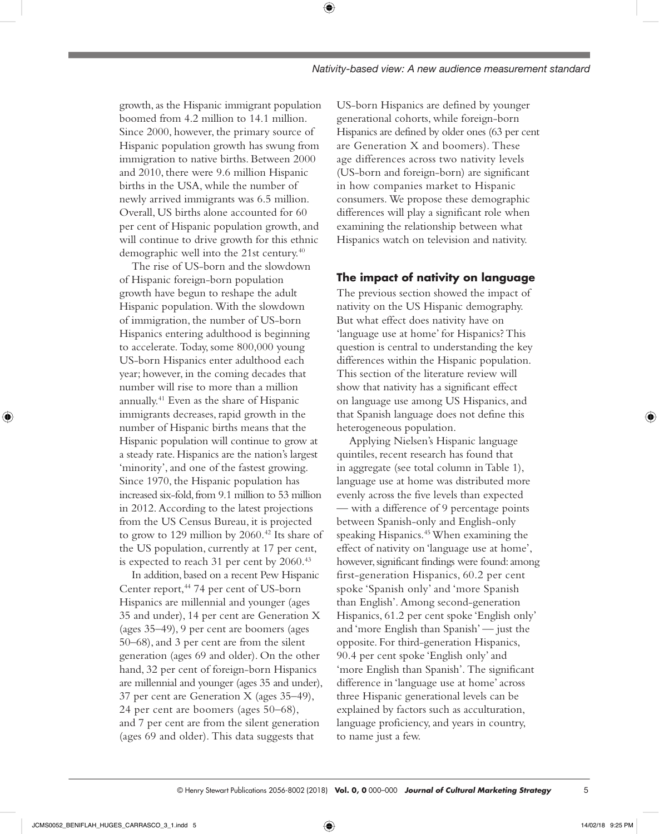⊕

growth, as the Hispanic immigrant population boomed from 4.2 million to 14.1 million. Since 2000, however, the primary source of Hispanic population growth has swung from immigration to native births. Between 2000 and 2010, there were 9.6 million Hispanic births in the USA, while the number of newly arrived immigrants was 6.5 million. Overall, US births alone accounted for 60 per cent of Hispanic population growth, and will continue to drive growth for this ethnic demographic well into the 21st century.40

The rise of US-born and the slowdown of Hispanic foreign-born population growth have begun to reshape the adult Hispanic population. With the slowdown of immigration, the number of US-born Hispanics entering adulthood is beginning to accelerate. Today, some 800,000 young US-born Hispanics enter adulthood each year; however, in the coming decades that number will rise to more than a million annually.41 Even as the share of Hispanic immigrants decreases, rapid growth in the number of Hispanic births means that the Hispanic population will continue to grow at a steady rate. Hispanics are the nation's largest 'minority', and one of the fastest growing. Since 1970, the Hispanic population has increased six-fold, from 9.1 million to 53 million in 2012. According to the latest projections from the US Census Bureau, it is projected to grow to 129 million by 2060.<sup>42</sup> Its share of the US population, currently at 17 per cent, is expected to reach 31 per cent by 2060.<sup>43</sup>

In addition, based on a recent Pew Hispanic Center report,<sup>44</sup> 74 per cent of US-born Hispanics are millennial and younger (ages 35 and under), 14 per cent are Generation X (ages 35–49), 9 per cent are boomers (ages 50–68), and 3 per cent are from the silent generation (ages 69 and older). On the other hand, 32 per cent of foreign-born Hispanics are millennial and younger (ages 35 and under), 37 per cent are Generation X (ages 35–49), 24 per cent are boomers (ages 50–68), and 7 per cent are from the silent generation (ages 69 and older). This data suggests that

US-born Hispanics are defined by younger generational cohorts, while foreign-born Hispanics are defined by older ones (63 per cent are Generation X and boomers). These age differences across two nativity levels (US-born and foreign-born) are significant in how companies market to Hispanic consumers. We propose these demographic differences will play a significant role when examining the relationship between what Hispanics watch on television and nativity.

# **The impact of nativity on language**

The previous section showed the impact of nativity on the US Hispanic demography. But what effect does nativity have on 'language use at home' for Hispanics? This question is central to understanding the key differences within the Hispanic population. This section of the literature review will show that nativity has a significant effect on language use among US Hispanics, and that Spanish language does not define this heterogeneous population.

Applying Nielsen's Hispanic language quintiles, recent research has found that in aggregate (see total column in Table 1), language use at home was distributed more evenly across the five levels than expected — with a difference of 9 percentage points between Spanish-only and English-only speaking Hispanics.45 When examining the effect of nativity on 'language use at home', however, significant findings were found: among first-generation Hispanics, 60.2 per cent spoke 'Spanish only' and 'more Spanish than English'. Among second-generation Hispanics, 61.2 per cent spoke 'English only' and 'more English than Spanish' — just the opposite. For third-generation Hispanics, 90.4 per cent spoke 'English only' and 'more English than Spanish'. The significant difference in 'language use at home' across three Hispanic generational levels can be explained by factors such as acculturation, language proficiency, and years in country, to name just a few.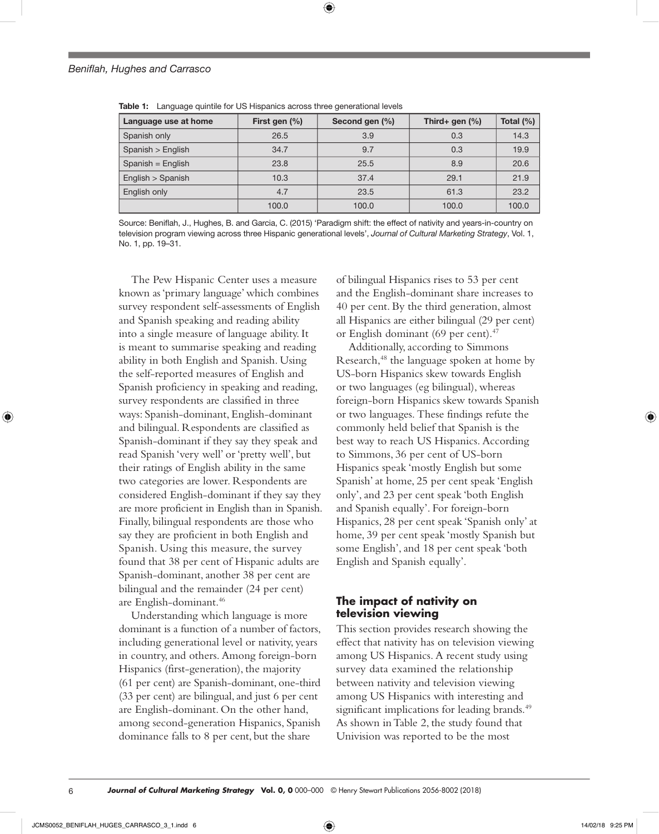| Language use at home | First gen (%) | Second gen (%) | Third+ gen $(\%)$ | Total $(\%)$ |
|----------------------|---------------|----------------|-------------------|--------------|
| Spanish only         | 26.5          | 3.9            | 0.3               | 14.3         |
| Spanish > English    | 34.7          | 9.7            | 0.3               | 19.9         |
| Spanish = $English$  | 23.8          | 25.5           | 8.9               | 20.6         |
| English > Spanish    | 10.3          | 37.4           | 29.1              | 21.9         |
| English only         | 4.7           | 23.5           | 61.3              | 23.2         |
|                      | 100.0         | 100.0          | 100.0             | 100.0        |

**Table 1:** Language quintile for US Hispanics across three generational levels

Source: Beniflah, J., Hughes, B. and Garcia, C. (2015) 'Paradigm shift: the effect of nativity and years-in-country on television program viewing across three Hispanic generational levels', *Journal of Cultural Marketing Strategy*, Vol. 1, No. 1, pp. 19–31.

The Pew Hispanic Center uses a measure known as 'primary language' which combines survey respondent self-assessments of English and Spanish speaking and reading ability into a single measure of language ability. It is meant to summarise speaking and reading ability in both English and Spanish. Using the self-reported measures of English and Spanish proficiency in speaking and reading, survey respondents are classified in three ways: Spanish-dominant, English-dominant and bilingual. Respondents are classified as Spanish-dominant if they say they speak and read Spanish 'very well' or 'pretty well', but their ratings of English ability in the same two categories are lower. Respondents are considered English-dominant if they say they are more proficient in English than in Spanish. Finally, bilingual respondents are those who say they are proficient in both English and Spanish. Using this measure, the survey found that 38 per cent of Hispanic adults are Spanish-dominant, another 38 per cent are bilingual and the remainder (24 per cent) are English-dominant.46

Understanding which language is more dominant is a function of a number of factors, including generational level or nativity, years in country, and others. Among foreign-born Hispanics (first-generation), the majority (61 per cent) are Spanish-dominant, one-third (33 per cent) are bilingual, and just 6 per cent are English-dominant. On the other hand, among second-generation Hispanics, Spanish dominance falls to 8 per cent, but the share

of bilingual Hispanics rises to 53 per cent and the English-dominant share increases to 40 per cent. By the third generation, almost all Hispanics are either bilingual (29 per cent) or English dominant (69 per cent).<sup>47</sup>

Additionally, according to Simmons Research,<sup>48</sup> the language spoken at home by US-born Hispanics skew towards English or two languages (eg bilingual), whereas foreign-born Hispanics skew towards Spanish or two languages. These findings refute the commonly held belief that Spanish is the best way to reach US Hispanics. According to Simmons, 36 per cent of US-born Hispanics speak 'mostly English but some Spanish' at home, 25 per cent speak 'English only', and 23 per cent speak 'both English and Spanish equally'. For foreign-born Hispanics, 28 per cent speak 'Spanish only' at home, 39 per cent speak 'mostly Spanish but some English', and 18 per cent speak 'both English and Spanish equally'.

# **The impact of nativity on television viewing**

This section provides research showing the effect that nativity has on television viewing among US Hispanics. A recent study using survey data examined the relationship between nativity and television viewing among US Hispanics with interesting and significant implications for leading brands.<sup>49</sup> As shown in Table 2, the study found that Univision was reported to be the most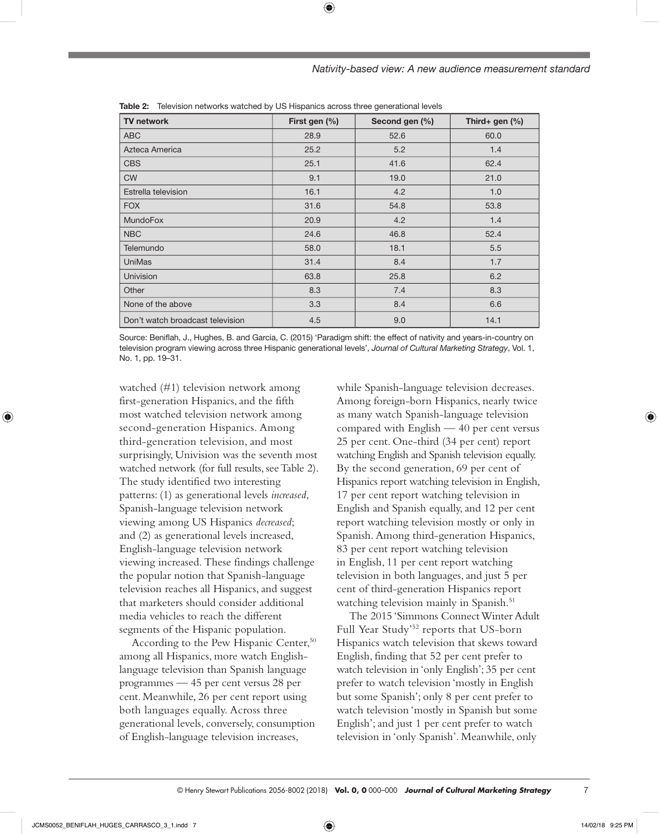| Nativity-based view: A new audience measurement standard |  |  |
|----------------------------------------------------------|--|--|
|                                                          |  |  |

| <b>TV network</b>                | First gen (%) | Second gen (%) | Third+ gen $(\%)$ |
|----------------------------------|---------------|----------------|-------------------|
| <b>ABC</b>                       | 28.9          | 52.6           | 60.0              |
| Azteca America                   | 25.2          | 5.2            | 1.4               |
| <b>CBS</b>                       | 25.1          | 41.6           | 62.4              |
| <b>CW</b>                        | 9.1           | 19.0           | 21.0              |
| Estrella television              | 16.1          | 4.2            | 1.0               |
| <b>FOX</b>                       | 31.6          | 54.8           | 53.8              |
| <b>MundoFox</b>                  | 20.9          | 4.2            | 1.4               |
| <b>NBC</b>                       | 24.6          | 46.8           | 52.4              |
| Telemundo                        | 58.0          | 18.1           | 5.5               |
| <b>UniMas</b>                    | 31.4          | 8.4            | 1.7               |
| Univision                        | 63.8          | 25.8           | 6.2               |
| Other                            | 8.3           | 7.4            | 8.3               |
| None of the above                | 3.3           | 8.4            | 6.6               |
| Don't watch broadcast television | 4.5           | 9.0            | 14.1              |

**Table 2:** Television networks watched by US Hispanics across three generational levels

Source: Beniflah, J., Hughes, B. and Garcia, C. (2015) 'Paradigm shift: the effect of nativity and years-in-country on television program viewing across three Hispanic generational levels', *Journal of Cultural Marketing Strategy*, Vol. 1, No. 1, pp. 19–31.

watched (#1) television network among first-generation Hispanics, and the fifth most watched television network among second-generation Hispanics. Among third-generation television, and most surprisingly, Univision was the seventh most watched network (for full results, see Table 2). The study identified two interesting patterns: (1) as generational levels *increased*, Spanish-language television network viewing among US Hispanics *decreased*; and (2) as generational levels increased, English-language television network viewing increased. These findings challenge the popular notion that Spanish-language television reaches all Hispanics, and suggest that marketers should consider additional media vehicles to reach the different segments of the Hispanic population.

According to the Pew Hispanic Center,<sup>50</sup> among all Hispanics, more watch Englishlanguage television than Spanish language programmes — 45 per cent versus 28 per cent. Meanwhile, 26 per cent report using both languages equally. Across three generational levels, conversely, consumption of English-language television increases,

while Spanish-language television decreases. Among foreign-born Hispanics, nearly twice as many watch Spanish-language television compared with English — 40 per cent versus 25 per cent. One-third (34 per cent) report watching English and Spanish television equally. By the second generation, 69 per cent of Hispanics report watching television in English, 17 per cent report watching television in English and Spanish equally, and 12 per cent report watching television mostly or only in Spanish. Among third-generation Hispanics, 83 per cent report watching television in English, 11 per cent report watching television in both languages, and just 5 per cent of third-generation Hispanics report watching television mainly in Spanish.<sup>51</sup>

The 2015 'Simmons Connect Winter Adult Full Year Study'52 reports that US-born Hispanics watch television that skews toward English, finding that 52 per cent prefer to watch television in 'only English'; 35 per cent prefer to watch television 'mostly in English but some Spanish'; only 8 per cent prefer to watch television 'mostly in Spanish but some English'; and just 1 per cent prefer to watch television in 'only Spanish'. Meanwhile, only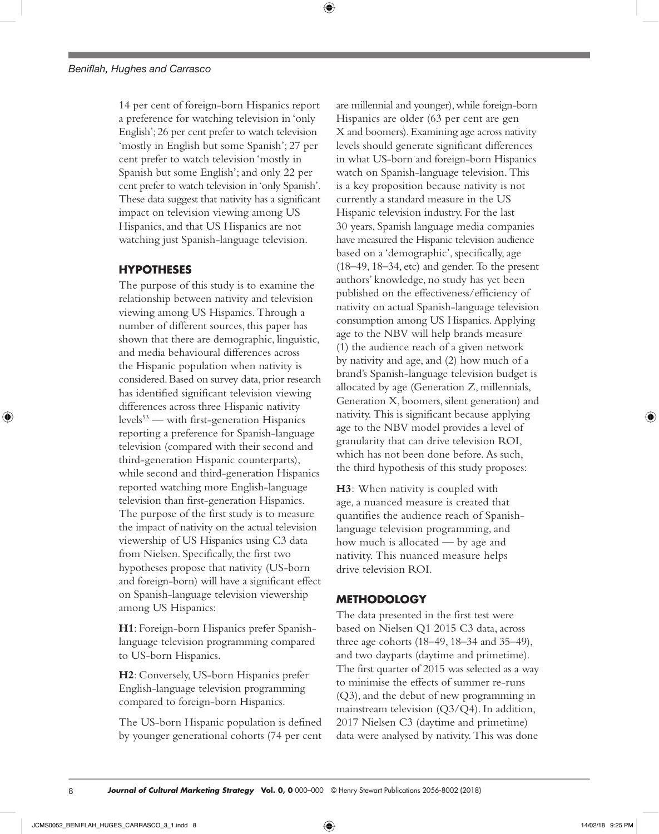14 per cent of foreign-born Hispanics report a preference for watching television in 'only English'; 26 per cent prefer to watch television 'mostly in English but some Spanish'; 27 per cent prefer to watch television 'mostly in Spanish but some English'; and only 22 per cent prefer to watch television in 'only Spanish'. These data suggest that nativity has a significant impact on television viewing among US Hispanics, and that US Hispanics are not watching just Spanish-language television.

# **HYPOTHESES**

The purpose of this study is to examine the relationship between nativity and television viewing among US Hispanics. Through a number of different sources, this paper has shown that there are demographic, linguistic, and media behavioural differences across the Hispanic population when nativity is considered. Based on survey data, prior research has identified significant television viewing differences across three Hispanic nativity levels<sup>53</sup> — with first-generation Hispanics reporting a preference for Spanish-language television (compared with their second and third-generation Hispanic counterparts), while second and third-generation Hispanics reported watching more English-language television than first-generation Hispanics. The purpose of the first study is to measure the impact of nativity on the actual television viewership of US Hispanics using C3 data from Nielsen. Specifically, the first two hypotheses propose that nativity (US-born and foreign-born) will have a significant effect on Spanish-language television viewership among US Hispanics:

**H1**: Foreign-born Hispanics prefer Spanishlanguage television programming compared to US-born Hispanics.

**H2**: Conversely, US-born Hispanics prefer English-language television programming compared to foreign-born Hispanics.

The US-born Hispanic population is defined by younger generational cohorts (74 per cent are millennial and younger), while foreign-born Hispanics are older (63 per cent are gen X and boomers). Examining age across nativity levels should generate significant differences in what US-born and foreign-born Hispanics watch on Spanish-language television. This is a key proposition because nativity is not currently a standard measure in the US Hispanic television industry. For the last 30 years, Spanish language media companies have measured the Hispanic television audience based on a 'demographic', specifically, age (18–49, 18–34, etc) and gender. To the present authors' knowledge, no study has yet been published on the effectiveness/efficiency of nativity on actual Spanish-language television consumption among US Hispanics. Applying age to the NBV will help brands measure (1) the audience reach of a given network by nativity and age, and (2) how much of a brand's Spanish-language television budget is allocated by age (Generation Z, millennials, Generation X, boomers, silent generation) and nativity. This is significant because applying age to the NBV model provides a level of granularity that can drive television ROI, which has not been done before. As such, the third hypothesis of this study proposes:

**H3**: When nativity is coupled with age, a nuanced measure is created that quantifies the audience reach of Spanishlanguage television programming, and how much is allocated — by age and nativity. This nuanced measure helps drive television ROI.

## **METHODOLOGY**

The data presented in the first test were based on Nielsen Q1 2015 C3 data, across three age cohorts (18–49, 18–34 and 35–49), and two dayparts (daytime and primetime). The first quarter of 2015 was selected as a way to minimise the effects of summer re-runs (Q3), and the debut of new programming in mainstream television (Q3/Q4). In addition, 2017 Nielsen C3 (daytime and primetime) data were analysed by nativity. This was done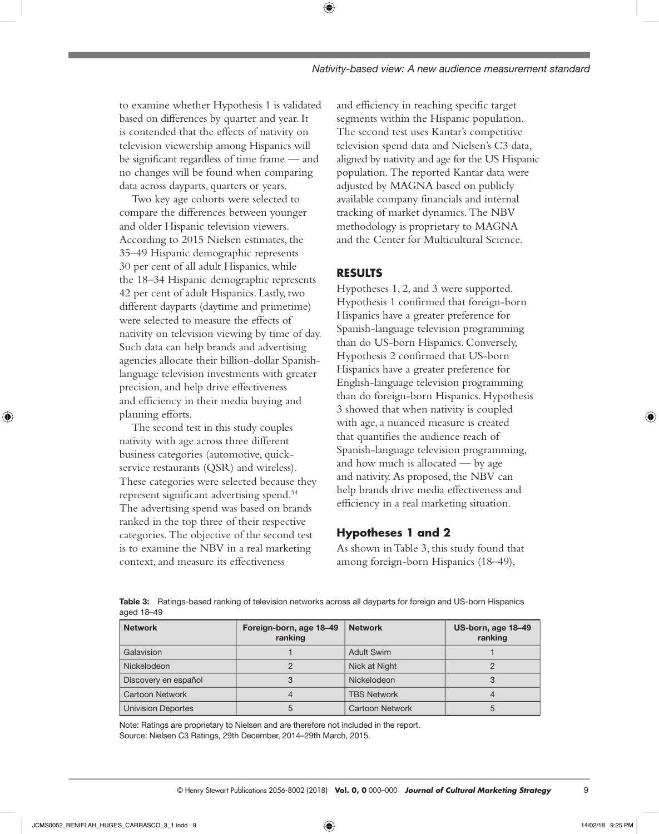to examine whether Hypothesis 1 is validated based on differences by quarter and year. It is contended that the effects of nativity on television viewership among Hispanics will be significant regardless of time frame — and no changes will be found when comparing data across dayparts, quarters or years.

Two key age cohorts were selected to compare the differences between younger and older Hispanic television viewers. According to 2015 Nielsen estimates, the 35–49 Hispanic demographic represents 30 per cent of all adult Hispanics, while the 18–34 Hispanic demographic represents 42 per cent of adult Hispanics. Lastly, two different dayparts (daytime and primetime) were selected to measure the effects of nativity on television viewing by time of day. Such data can help brands and advertising agencies allocate their billion-dollar Spanishlanguage television investments with greater precision, and help drive effectiveness and efficiency in their media buying and planning efforts.

The second test in this study couples nativity with age across three different business categories (automotive, quickservice restaurants (QSR) and wireless). These categories were selected because they represent significant advertising spend.54 The advertising spend was based on brands ranked in the top three of their respective categories. The objective of the second test is to examine the NBV in a real marketing context, and measure its effectiveness

and efficiency in reaching specific target segments within the Hispanic population. The second test uses Kantar's competitive television spend data and Nielsen's C3 data, aligned by nativity and age for the US Hispanic population. The reported Kantar data were adjusted by MAGNA based on publicly available company financials and internal tracking of market dynamics. The NBV methodology is proprietary to MAGNA and the Center for Multicultural Science.

# **RESULTS**

⊕

Hypotheses 1, 2, and 3 were supported. Hypothesis 1 confirmed that foreign-born Hispanics have a greater preference for Spanish-language television programming than do US-born Hispanics. Conversely, Hypothesis 2 confirmed that US-born Hispanics have a greater preference for English-language television programming than do foreign-born Hispanics. Hypothesis 3 showed that when nativity is coupled with age, a nuanced measure is created that quantifies the audience reach of Spanish-language television programming, and how much is allocated — by age and nativity. As proposed, the NBV can help brands drive media effectiveness and efficiency in a real marketing situation.

# **Hypotheses 1 and 2**

As shown in Table 3, this study found that among foreign-born Hispanics (18–49),

**Table 3:** Ratings-based ranking of television networks across all dayparts for foreign and US-born Hispanics aged 18–49

| <b>Network</b>            | Foreign-born, age 18-49<br>ranking | <b>Network</b>         | US-born, age 18-49<br>ranking |
|---------------------------|------------------------------------|------------------------|-------------------------------|
| Galavision                |                                    | <b>Adult Swim</b>      |                               |
| Nickelodeon               |                                    | Nick at Night          |                               |
| Discovery en español      |                                    | Nickelodeon            |                               |
| <b>Cartoon Network</b>    |                                    | <b>TBS Network</b>     |                               |
| <b>Univision Deportes</b> |                                    | <b>Cartoon Network</b> |                               |

Note: Ratings are proprietary to Nielsen and are therefore not included in the report. Source: Nielsen C3 Ratings, 29th December, 2014–29th March, 2015.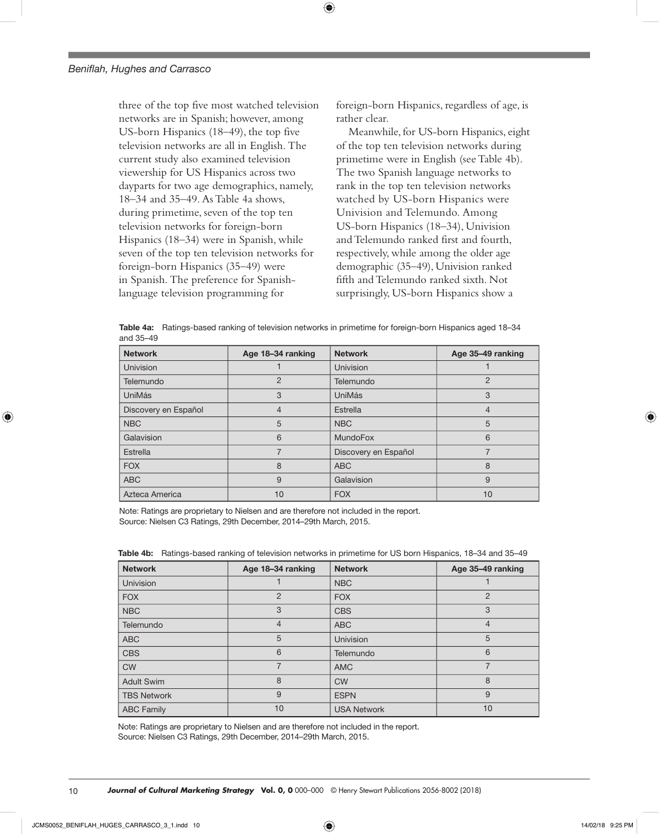three of the top five most watched television networks are in Spanish; however, among US-born Hispanics (18–49), the top five television networks are all in English. The current study also examined television viewership for US Hispanics across two dayparts for two age demographics, namely, 18–34 and 35–49. As Table 4a shows, during primetime, seven of the top ten television networks for foreign-born Hispanics (18–34) were in Spanish, while seven of the top ten television networks for foreign-born Hispanics (35–49) were in Spanish. The preference for Spanishlanguage television programming for

foreign-born Hispanics, regardless of age, is rather clear.

Meanwhile, for US-born Hispanics, eight of the top ten television networks during primetime were in English (see Table 4b). The two Spanish language networks to rank in the top ten television networks watched by US-born Hispanics were Univision and Telemundo. Among US-born Hispanics (18–34), Univision and Telemundo ranked first and fourth, respectively, while among the older age demographic (35–49), Univision ranked fifth and Telemundo ranked sixth. Not surprisingly, US-born Hispanics show a

**Table 4a:** Ratings-based ranking of television networks in primetime for foreign-born Hispanics aged 18–34 and 35–49

⊕

| <b>Network</b>       | Age 18-34 ranking | <b>Network</b>       | Age 35-49 ranking |
|----------------------|-------------------|----------------------|-------------------|
| <b>Univision</b>     |                   | Univision            |                   |
| Telemundo            | $\overline{2}$    | Telemundo            | $\overline{2}$    |
| UniMás               | 3                 | <b>UniMás</b>        | 3                 |
| Discovery en Español | $\overline{4}$    | Estrella             | 4                 |
| <b>NBC</b>           | 5                 | <b>NBC</b>           | 5                 |
| Galavision           | 6                 | <b>MundoFox</b>      | 6                 |
| Estrella             | 7                 | Discovery en Español | 7                 |
| <b>FOX</b>           | 8                 | <b>ABC</b>           | 8                 |
| <b>ABC</b>           | 9                 | Galavision           | 9                 |
| Azteca America       | 10                | <b>FOX</b>           | 10                |

Note: Ratings are proprietary to Nielsen and are therefore not included in the report. Source: Nielsen C3 Ratings, 29th December, 2014–29th March, 2015.

| <b>Network</b>     | Age 18-34 ranking | <b>Network</b>     | Age 35-49 ranking |
|--------------------|-------------------|--------------------|-------------------|
| <b>Univision</b>   |                   | <b>NBC</b>         |                   |
| <b>FOX</b>         | $\overline{2}$    | <b>FOX</b>         | $\overline{2}$    |
| <b>NBC</b>         | 3                 | <b>CBS</b>         | 3                 |
| Telemundo          | 4                 | <b>ABC</b>         | $\overline{4}$    |
| <b>ABC</b>         | 5                 | Univision          | 5                 |
| <b>CBS</b>         | 6                 | Telemundo          | 6                 |
| <b>CW</b>          | 7                 | <b>AMC</b>         | 7                 |
| <b>Adult Swim</b>  | 8                 | <b>CW</b>          | 8                 |
| <b>TBS Network</b> | 9                 | <b>ESPN</b>        | 9                 |
| <b>ABC Family</b>  | 10                | <b>USA Network</b> | 10                |

**Table 4b:** Ratings-based ranking of television networks in primetime for US born Hispanics, 18–34 and 35–49

Note: Ratings are proprietary to Nielsen and are therefore not included in the report. Source: Nielsen C3 Ratings, 29th December, 2014–29th March, 2015.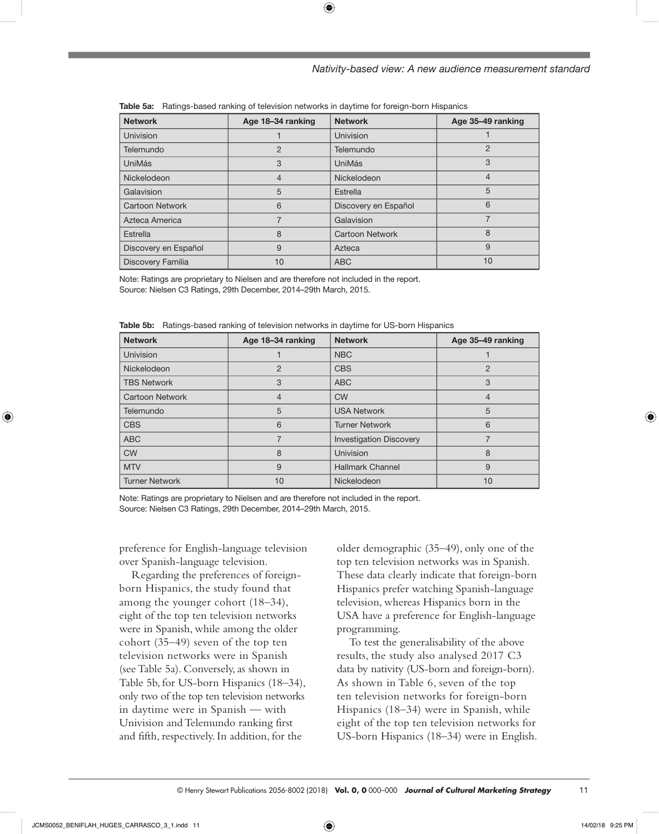#### *Nativity-based view: A new audience measurement standard*

| <b>Network</b>       | Age 18-34 ranking | <b>Network</b>       | Age 35-49 ranking |
|----------------------|-------------------|----------------------|-------------------|
| <b>Univision</b>     |                   | <b>Univision</b>     |                   |
| Telemundo            | $\overline{2}$    | Telemundo            | 2                 |
| UniMás               | 3                 | UniMás               | 3                 |
| Nickelodeon          | 4                 | Nickelodeon          | 4                 |
| Galavision           | 5                 | Estrella             | 5                 |
| Cartoon Network      | 6                 | Discovery en Español | 6                 |
| Azteca America       |                   | Galavision           | 7                 |
| Estrella             | 8                 | Cartoon Network      | 8                 |
| Discovery en Español | 9                 | Azteca               | 9                 |
| Discovery Familia    | 10                | <b>ABC</b>           | 10                |

⊕

|  | <b>Table 5a:</b> Ratings-based ranking of television networks in daytime for foreign-born Hispanics |  |  |  |  |  |  |  |
|--|-----------------------------------------------------------------------------------------------------|--|--|--|--|--|--|--|
|--|-----------------------------------------------------------------------------------------------------|--|--|--|--|--|--|--|

Note: Ratings are proprietary to Nielsen and are therefore not included in the report. Source: Nielsen C3 Ratings, 29th December, 2014–29th March, 2015.

| <b>Network</b>         | Age 18-34 ranking | <b>Network</b>                 | Age 35-49 ranking |
|------------------------|-------------------|--------------------------------|-------------------|
| Univision              |                   | <b>NBC</b>                     |                   |
| Nickelodeon            | $\overline{2}$    | <b>CBS</b>                     | $\overline{2}$    |
| <b>TBS Network</b>     | 3                 | <b>ABC</b>                     | 3                 |
| <b>Cartoon Network</b> | 4                 | <b>CW</b>                      | 4                 |
| Telemundo              | 5                 | <b>USA Network</b>             | 5                 |
| <b>CBS</b>             | 6                 | <b>Turner Network</b>          | 6                 |
| <b>ABC</b>             |                   | <b>Investigation Discovery</b> |                   |
| <b>CW</b>              | 8                 | Univision                      | 8                 |
| <b>MTV</b>             | 9                 | <b>Hallmark Channel</b>        | 9                 |
| <b>Turner Network</b>  | 10                | Nickelodeon                    | 10                |

|  |  |  |  |  |  | <b>Table 5b:</b> Ratings-based ranking of television networks in daytime for US-born Hispanics |
|--|--|--|--|--|--|------------------------------------------------------------------------------------------------|
|--|--|--|--|--|--|------------------------------------------------------------------------------------------------|

Note: Ratings are proprietary to Nielsen and are therefore not included in the report. Source: Nielsen C3 Ratings, 29th December, 2014–29th March, 2015.

preference for English-language television over Spanish-language television.

Regarding the preferences of foreignborn Hispanics, the study found that among the younger cohort (18–34), eight of the top ten television networks were in Spanish, while among the older cohort (35–49) seven of the top ten television networks were in Spanish (see Table 5a). Conversely, as shown in Table 5b, for US-born Hispanics (18–34), only two of the top ten television networks in daytime were in Spanish — with Univision and Telemundo ranking first and fifth, respectively. In addition, for the

older demographic (35–49), only one of the top ten television networks was in Spanish. These data clearly indicate that foreign-born Hispanics prefer watching Spanish-language television, whereas Hispanics born in the USA have a preference for English-language programming.

To test the generalisability of the above results, the study also analysed 2017 C3 data by nativity (US-born and foreign-born). As shown in Table 6, seven of the top ten television networks for foreign-born Hispanics (18–34) were in Spanish, while eight of the top ten television networks for US-born Hispanics (18–34) were in English.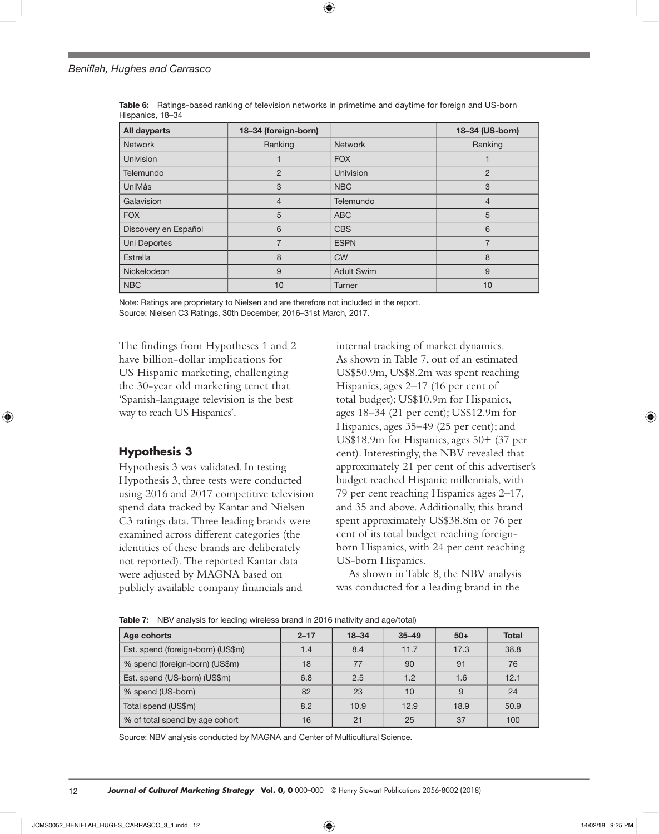| All dayparts         | 18-34 (foreign-born) |                   | 18-34 (US-born) |
|----------------------|----------------------|-------------------|-----------------|
| <b>Network</b>       | Ranking              | <b>Network</b>    | Ranking         |
| <b>Univision</b>     |                      | <b>FOX</b>        |                 |
| Telemundo            | $\overline{2}$       | <b>Univision</b>  | $\overline{2}$  |
| <b>UniMás</b>        | 3                    | <b>NBC</b>        | 3               |
| Galavision           | $\overline{4}$       | Telemundo         | $\overline{4}$  |
| <b>FOX</b>           | 5                    | <b>ABC</b>        | 5               |
| Discovery en Español | 6                    | <b>CBS</b>        | 6               |
| Uni Deportes         | $\overline{7}$       | <b>ESPN</b>       | $\overline{7}$  |
| Estrella             | 8                    | <b>CW</b>         | 8               |
| Nickelodeon          | 9                    | <b>Adult Swim</b> | 9               |
| <b>NBC</b>           | 10                   | <b>Turner</b>     | 10              |

**Table 6:** Ratings-based ranking of television networks in primetime and daytime for foreign and US-born Hispanics, 18–34

⊕

Note: Ratings are proprietary to Nielsen and are therefore not included in the report. Source: Nielsen C3 Ratings, 30th December, 2016–31st March, 2017.

The findings from Hypotheses 1 and 2 have billion-dollar implications for US Hispanic marketing, challenging the 30-year old marketing tenet that 'Spanish-language television is the best way to reach US Hispanics'.

# **Hypothesis 3**

Hypothesis 3 was validated. In testing Hypothesis 3, three tests were conducted using 2016 and 2017 competitive television spend data tracked by Kantar and Nielsen C3 ratings data. Three leading brands were examined across different categories (the identities of these brands are deliberately not reported). The reported Kantar data were adjusted by MAGNA based on publicly available company financials and

internal tracking of market dynamics. As shown in Table 7, out of an estimated US\$50.9m, US\$8.2m was spent reaching Hispanics, ages 2–17 (16 per cent of total budget); US\$10.9m for Hispanics, ages 18–34 (21 per cent); US\$12.9m for Hispanics, ages 35–49 (25 per cent); and US\$18.9m for Hispanics, ages 50+ (37 per cent). Interestingly, the NBV revealed that approximately 21 per cent of this advertiser's budget reached Hispanic millennials, with 79 per cent reaching Hispanics ages 2–17, and 35 and above. Additionally, this brand spent approximately US\$38.8m or 76 per cent of its total budget reaching foreignborn Hispanics, with 24 per cent reaching US-born Hispanics.

As shown in Table 8, the NBV analysis was conducted for a leading brand in the

| Age cohorts                       | $2 - 17$ | $18 - 34$ | $35 - 49$ | $50+$ | <b>Total</b> |  |  |
|-----------------------------------|----------|-----------|-----------|-------|--------------|--|--|
| Est. spend (foreign-born) (US\$m) | 1.4      | 8.4       | 11.7      | 17.3  | 38.8         |  |  |
| % spend (foreign-born) (US\$m)    | 18       | 77        | 90        | 91    | 76           |  |  |
| Est. spend (US-born) (US\$m)      | 6.8      | 2.5       | 1.2       | 1.6   | 12.1         |  |  |
| % spend (US-born)                 | 82       | 23        | 10        | 9     | 24           |  |  |
| Total spend (US\$m)               | 8.2      | 10.9      | 12.9      | 18.9  | 50.9         |  |  |
| % of total spend by age cohort    | 16       | 21        | 25        | 37    | 100          |  |  |

**Table 7:** NBV analysis for leading wireless brand in 2016 (nativity and age/total)

Source: NBV analysis conducted by MAGNA and Center of Multicultural Science.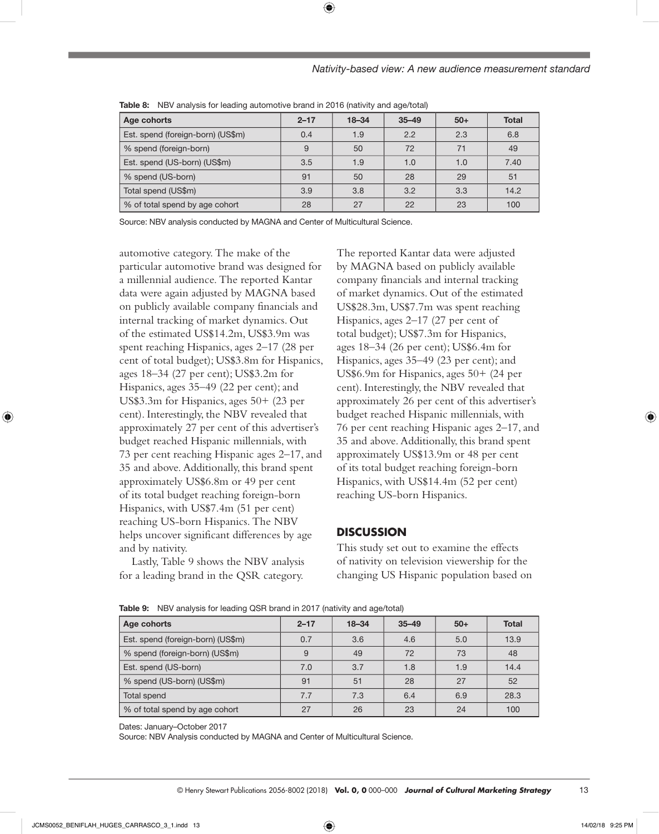## *Nativity-based view: A new audience measurement standard*

| <b>Table of the validity of the fouring automotive brand in Edite (nativity and age, total)</b> |          |           |           |       |              |  |  |  |
|-------------------------------------------------------------------------------------------------|----------|-----------|-----------|-------|--------------|--|--|--|
| Age cohorts                                                                                     | $2 - 17$ | $18 - 34$ | $35 - 49$ | $50+$ | <b>Total</b> |  |  |  |
| Est. spend (foreign-born) (US\$m)                                                               | 0.4      | 1.9       | 2.2       | 2.3   | 6.8          |  |  |  |
| % spend (foreign-born)                                                                          | 9        | 50        | 72        | 71    | 49           |  |  |  |
| Est. spend (US-born) (US\$m)                                                                    | 3.5      | 1.9       | 1.0       | 1.0   | 7.40         |  |  |  |
| % spend (US-born)                                                                               | 91       | 50        | 28        | 29    | 51           |  |  |  |
| Total spend (US\$m)                                                                             | 3.9      | 3.8       | 3.2       | 3.3   | 14.2         |  |  |  |
| % of total spend by age cohort                                                                  | 28       | 27        | 22        | 23    | 100          |  |  |  |

**Table 8:** NBV analysis for leading automotive brand in 2016 (nativity and age/total)

Source: NBV analysis conducted by MAGNA and Center of Multicultural Science.

automotive category. The make of the particular automotive brand was designed for a millennial audience. The reported Kantar data were again adjusted by MAGNA based on publicly available company financials and internal tracking of market dynamics. Out of the estimated US\$14.2m, US\$3.9m was spent reaching Hispanics, ages 2–17 (28 per cent of total budget); US\$3.8m for Hispanics, ages 18–34 (27 per cent); US\$3.2m for Hispanics, ages 35–49 (22 per cent); and US\$3.3m for Hispanics, ages 50+ (23 per cent). Interestingly, the NBV revealed that approximately 27 per cent of this advertiser's budget reached Hispanic millennials, with 73 per cent reaching Hispanic ages 2–17, and 35 and above. Additionally, this brand spent approximately US\$6.8m or 49 per cent of its total budget reaching foreign-born Hispanics, with US\$7.4m (51 per cent) reaching US-born Hispanics. The NBV helps uncover significant differences by age and by nativity.

Lastly, Table 9 shows the NBV analysis for a leading brand in the QSR category.

The reported Kantar data were adjusted by MAGNA based on publicly available company financials and internal tracking of market dynamics. Out of the estimated US\$28.3m, US\$7.7m was spent reaching Hispanics, ages 2–17 (27 per cent of total budget); US\$7.3m for Hispanics, ages 18–34 (26 per cent); US\$6.4m for Hispanics, ages 35–49 (23 per cent); and US\$6.9m for Hispanics, ages 50+ (24 per cent). Interestingly, the NBV revealed that approximately 26 per cent of this advertiser's budget reached Hispanic millennials, with 76 per cent reaching Hispanic ages 2–17, and 35 and above. Additionally, this brand spent approximately US\$13.9m or 48 per cent of its total budget reaching foreign-born Hispanics, with US\$14.4m (52 per cent) reaching US-born Hispanics.

## **DISCUSSION**

This study set out to examine the effects of nativity on television viewership for the changing US Hispanic population based on

| Age cohorts                       | $2 - 17$ | $18 - 34$ | $35 - 49$ | $50+$ | <b>Total</b> |  |  |  |
|-----------------------------------|----------|-----------|-----------|-------|--------------|--|--|--|
| Est. spend (foreign-born) (US\$m) | 0.7      | 3.6       | 4.6       | 5.0   | 13.9         |  |  |  |
| % spend (foreign-born) (US\$m)    | 9        | 49        | 72        | 73    | 48           |  |  |  |
| Est. spend (US-born)              | 7.0      | 3.7       | 1.8       | 1.9   | 14.4         |  |  |  |
| % spend (US-born) (US\$m)         | 91       | 51        | 28        | 27    | 52           |  |  |  |
| Total spend                       | 7.7      | 7.3       | 6.4       | 6.9   | 28.3         |  |  |  |
| % of total spend by age cohort    | 27       | 26        | 23        | 24    | 100          |  |  |  |

**Table 9:** NBV analysis for leading QSR brand in 2017 (nativity and age/total)

Dates: January–October 2017

Source: NBV Analysis conducted by MAGNA and Center of Multicultural Science.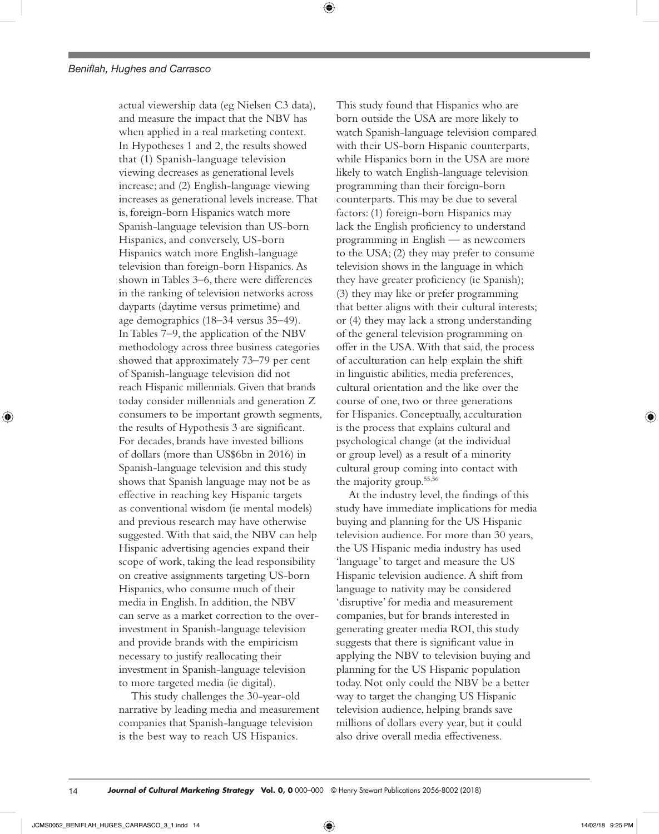⊕

and measure the impact that the NBV has when applied in a real marketing context. In Hypotheses 1 and 2, the results showed that (1) Spanish-language television viewing decreases as generational levels increase; and (2) English-language viewing increases as generational levels increase. That is, foreign-born Hispanics watch more Spanish-language television than US-born Hispanics, and conversely, US-born Hispanics watch more English-language television than foreign-born Hispanics. As shown in Tables 3–6, there were differences in the ranking of television networks across dayparts (daytime versus primetime) and age demographics (18–34 versus 35–49). In Tables 7–9, the application of the NBV methodology across three business categories showed that approximately 73–79 per cent of Spanish-language television did not reach Hispanic millennials. Given that brands today consider millennials and generation Z consumers to be important growth segments, the results of Hypothesis 3 are significant. For decades, brands have invested billions of dollars (more than US\$6bn in 2016) in Spanish-language television and this study shows that Spanish language may not be as effective in reaching key Hispanic targets as conventional wisdom (ie mental models) and previous research may have otherwise suggested. With that said, the NBV can help Hispanic advertising agencies expand their scope of work, taking the lead responsibility on creative assignments targeting US-born Hispanics, who consume much of their media in English. In addition, the NBV can serve as a market correction to the overinvestment in Spanish-language television and provide brands with the empiricism necessary to justify reallocating their investment in Spanish-language television to more targeted media (ie digital).

actual viewership data (eg Nielsen C3 data),

This study challenges the 30-year-old narrative by leading media and measurement companies that Spanish-language television is the best way to reach US Hispanics.

This study found that Hispanics who are born outside the USA are more likely to watch Spanish-language television compared with their US-born Hispanic counterparts, while Hispanics born in the USA are more likely to watch English-language television programming than their foreign-born counterparts. This may be due to several factors: (1) foreign-born Hispanics may lack the English proficiency to understand programming in English — as newcomers to the USA; (2) they may prefer to consume television shows in the language in which they have greater proficiency (ie Spanish); (3) they may like or prefer programming that better aligns with their cultural interests; or (4) they may lack a strong understanding of the general television programming on offer in the USA. With that said, the process of acculturation can help explain the shift in linguistic abilities, media preferences, cultural orientation and the like over the course of one, two or three generations for Hispanics. Conceptually, acculturation is the process that explains cultural and psychological change (at the individual or group level) as a result of a minority cultural group coming into contact with the majority group.55,56

At the industry level, the findings of this study have immediate implications for media buying and planning for the US Hispanic television audience. For more than 30 years, the US Hispanic media industry has used 'language' to target and measure the US Hispanic television audience. A shift from language to nativity may be considered 'disruptive' for media and measurement companies, but for brands interested in generating greater media ROI, this study suggests that there is significant value in applying the NBV to television buying and planning for the US Hispanic population today. Not only could the NBV be a better way to target the changing US Hispanic television audience, helping brands save millions of dollars every year, but it could also drive overall media effectiveness.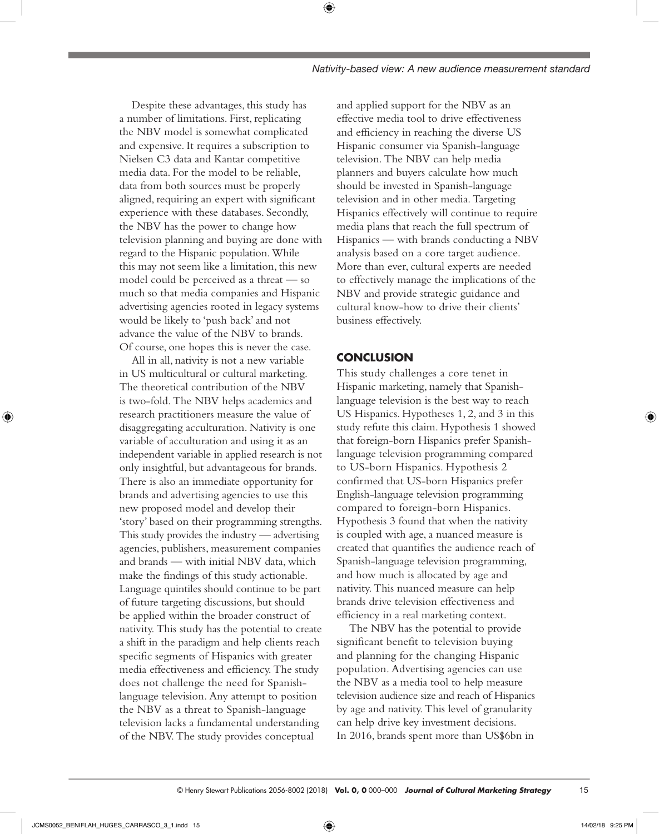Despite these advantages, this study has a number of limitations. First, replicating the NBV model is somewhat complicated and expensive. It requires a subscription to Nielsen C3 data and Kantar competitive media data. For the model to be reliable, data from both sources must be properly aligned, requiring an expert with significant experience with these databases. Secondly, the NBV has the power to change how television planning and buying are done with regard to the Hispanic population. While this may not seem like a limitation, this new model could be perceived as a threat — so much so that media companies and Hispanic advertising agencies rooted in legacy systems would be likely to 'push back' and not advance the value of the NBV to brands. Of course, one hopes this is never the case.

All in all, nativity is not a new variable in US multicultural or cultural marketing. The theoretical contribution of the NBV is two-fold. The NBV helps academics and research practitioners measure the value of disaggregating acculturation. Nativity is one variable of acculturation and using it as an independent variable in applied research is not only insightful, but advantageous for brands. There is also an immediate opportunity for brands and advertising agencies to use this new proposed model and develop their 'story' based on their programming strengths. This study provides the industry — advertising agencies, publishers, measurement companies and brands — with initial NBV data, which make the findings of this study actionable. Language quintiles should continue to be part of future targeting discussions, but should be applied within the broader construct of nativity. This study has the potential to create a shift in the paradigm and help clients reach specific segments of Hispanics with greater media effectiveness and efficiency. The study does not challenge the need for Spanishlanguage television. Any attempt to position the NBV as a threat to Spanish-language television lacks a fundamental understanding of the NBV. The study provides conceptual

and applied support for the NBV as an effective media tool to drive effectiveness and efficiency in reaching the diverse US Hispanic consumer via Spanish-language television. The NBV can help media planners and buyers calculate how much should be invested in Spanish-language television and in other media. Targeting Hispanics effectively will continue to require media plans that reach the full spectrum of Hispanics — with brands conducting a NBV analysis based on a core target audience. More than ever, cultural experts are needed to effectively manage the implications of the NBV and provide strategic guidance and cultural know-how to drive their clients' business effectively.

## **CONCLUSION**

⊕

This study challenges a core tenet in Hispanic marketing, namely that Spanishlanguage television is the best way to reach US Hispanics. Hypotheses 1, 2, and 3 in this study refute this claim. Hypothesis 1 showed that foreign-born Hispanics prefer Spanishlanguage television programming compared to US-born Hispanics. Hypothesis 2 confirmed that US-born Hispanics prefer English-language television programming compared to foreign-born Hispanics. Hypothesis 3 found that when the nativity is coupled with age, a nuanced measure is created that quantifies the audience reach of Spanish-language television programming, and how much is allocated by age and nativity. This nuanced measure can help brands drive television effectiveness and efficiency in a real marketing context.

The NBV has the potential to provide significant benefit to television buying and planning for the changing Hispanic population. Advertising agencies can use the NBV as a media tool to help measure television audience size and reach of Hispanics by age and nativity. This level of granularity can help drive key investment decisions. In 2016, brands spent more than US\$6bn in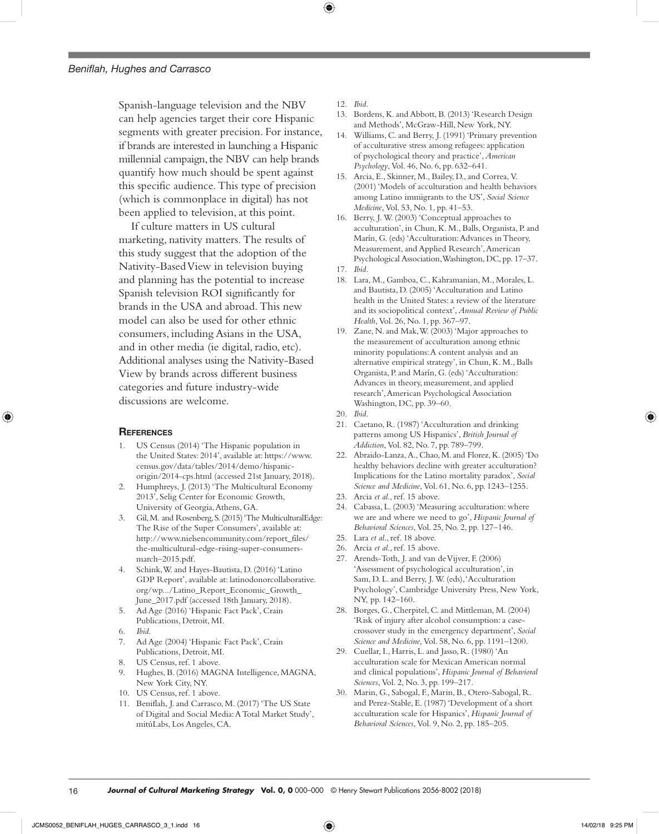Spanish-language television and the NBV can help agencies target their core Hispanic segments with greater precision. For instance, if brands are interested in launching a Hispanic millennial campaign, the NBV can help brands quantify how much should be spent against this specific audience. This type of precision (which is commonplace in digital) has not been applied to television, at this point.

If culture matters in US cultural marketing, nativity matters. The results of this study suggest that the adoption of the Nativity-Based View in television buying and planning has the potential to increase Spanish television ROI significantly for brands in the USA and abroad. This new model can also be used for other ethnic consumers, including Asians in the USA, and in other media (ie digital, radio, etc). Additional analyses using the Nativity-Based View by brands across different business categories and future industry-wide discussions are welcome.

## **REFERENCES**

- 1. US Census (2014) 'The Hispanic population in the United States: 2014', available at: [https://www.](https://www.census.gov/data/tables/2014/demo/hispanic-origin/2014-cps.html) [census.gov/data/tables/2014/demo/hispanic](https://www.census.gov/data/tables/2014/demo/hispanic-origin/2014-cps.html)[origin/2014-cps.html](https://www.census.gov/data/tables/2014/demo/hispanic-origin/2014-cps.html) (accessed 21st January, 2018).
- 2. Humphreys, J. (2013) 'The Multicultural Economy 2013', Selig Center for Economic Growth, University of Georgia, Athens, GA.
- 3. Gil, M. and Rosenberg, S. (2015) 'The MulticulturalEdge: The Rise of the Super Consumers', available at: http://www.nielsencommunity.com/report\_files/ the-multicultural-edge-rising-super-consumersmarch–2015.pdf.
- 4. Schink, W. and Hayes-Bautista, D. (2016) 'Latino GDP Report', available at: [latinodonorcollaborative.](http://latinodonorcollaborative.org/wp.../Latino_Report_Economic_Growth_June_2017.pdf) [org/wp.../Latino\\_Report\\_Economic\\_Growth\\_](http://latinodonorcollaborative.org/wp.../Latino_Report_Economic_Growth_June_2017.pdf) [June\\_2017.pdf](http://latinodonorcollaborative.org/wp.../Latino_Report_Economic_Growth_June_2017.pdf) (accessed 18th January, 2018).
- 5. Ad Age (2016) 'Hispanic Fact Pack', Crain Publications, Detroit, MI.
- 6. *Ibid*.
- 7. Ad Age (2004) 'Hispanic Fact Pack', Crain Publications, Detroit, MI.
- 8. US Census, ref. 1 above.
- Hughes, B. (2016) MAGNA Intelligence, MAGNA, New York City, NY.
- 10. US Census, ref. 1 above.
- 11. Beniflah, J. and Carrasco, M. (2017) 'The US State of Digital and Social Media: A Total Market Study', mitúLabs, Los Angeles, CA.
- 12. *Ibid*.
- 13. Bordens, K. and Abbott, B. (2013) 'Research Design and Methods', McGraw-Hill, New York, NY.
- 14. Williams, C. and Berry, J. (1991) 'Primary prevention of acculturative stress among refugees: application of psychological theory and practice', *American Psychology*, Vol. 46, No. 6, pp. 632–641.
- 15. Arcia, E., Skinner, M., Bailey, D., and Correa, V. (2001) 'Models of acculturation and health behaviors among Latino immigrants to the US', *Social Science Medicine*, Vol. 53, No. 1, pp. 41–53.
- 16. Berry, J. W. (2003) 'Conceptual approaches to acculturation', in Chun, K. M., Balls, Organista, P. and Marín, G. (eds) 'Acculturation: Advances in Theory, Measurement, and Applied Research', American Psychological Association, Washington, DC, pp. 17–37.
- 17. *Ibid*.
- 18. Lara, M., Gamboa, C., Kahramanian, M., Morales, L. and Bautista, D. (2005) 'Acculturation and Latino health in the United States: a review of the literature and its sociopolitical context', *Annual Review of Public Health*, Vol. 26, No. 1, pp. 367–97.
- 19. Zane, N. and Mak, W. (2003) 'Major approaches to the measurement of acculturation among ethnic minority populations: A content analysis and an alternative empirical strategy', in Chun, K. M., Balls Organista, P. and Marín, G. (eds) 'Acculturation: Advances in theory, measurement, and applied research', American Psychological Association Washington, DC, pp. 39–60.
- 20. *Ibid*.
- 21. Caetano, R. (1987) 'Acculturation and drinking patterns among US Hispanics', *British Journal of Addiction*, Vol. 82, No. 7, pp. 789–799.
- 22. Abraido-Lanza, A., Chao, M. and Florez, K. (2005) 'Do healthy behaviors decline with greater acculturation? Implications for the Latino mortality paradox', *Social Science and Medicine*, Vol. 61, No. 6, pp. 1243–1255.
- 23. Arcia *et al*., ref. 15 above.
- 24. Cabassa, L. (2003) 'Measuring acculturation: where we are and where we need to go', *Hispanic Journal of Behavioral Sciences*, Vol. 25, No. 2, pp. 127–146.
- 25. Lara *et al*., ref. 18 above.
- 26. Arcia *et al*., ref. 15 above.
- 27. Arends-Toth, J. and van de Vijver, F. (2006) 'Assessment of psychological acculturation', in Sam, D. L. and Berry, J. W. (eds), 'Acculturation Psychology', Cambridge University Press, New York, NY, pp. 142–160.
- 28. Borges, G., Cherpitel, C. and Mittleman, M. (2004) 'Risk of injury after alcohol consumption: a casecrossover study in the emergency department', *Social Science and Medicine,* Vol. 58, No. 6, pp. 1191–1200.
- 29. Cuellar, I., Harris, L. and Jasso, R. (1980) 'An acculturation scale for Mexican American normal and clinical populations', *Hispanic Journal of Behavioral Sciences*, Vol. 2, No. 3, pp. 199–217.
- 30. Marin, G., Sabogal, F., Marin, B., Otero-Sabogal, R. and Perez-Stable, E. (1987) 'Development of a short acculturation scale for Hispanics', *Hispanic Journal of Behavioral Sciences*, Vol. 9, No. 2, pp. 185–205.